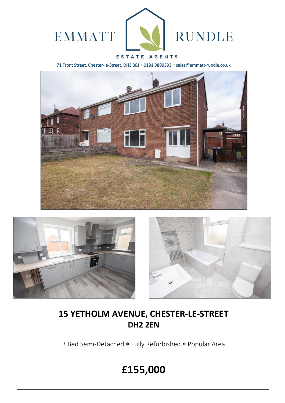

### ESTATE AGENTS

71 Front Street, Chester-le-Street, DH3 3BJ \* 0191 3889393 \* sales@emmatt-rundle.co.uk







## **15 YETHOLM AVENUE, CHESTER-LE-STREET DH2 2EN**

3 Bed Semi-Detached \* Fully Refurbished \* Popular Area

# **£155,000**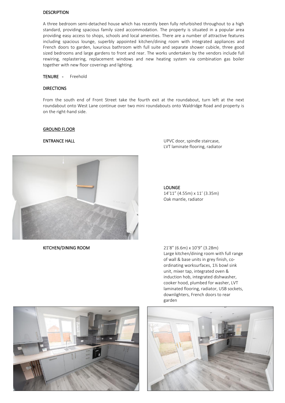#### DESCRIPTION

A three bedroom semi-detached house which has recently been fully refurbished throughout to a high standard, providing spacious family sized accommodation. The property is situated in a popular area providing easy access to shops, schools and local amenities. There are a number of attractive features including spacious lounge, superbly appointed kitchen/dining room with integrated appliances and French doors to garden, luxurious bathroom with full suite and separate shower cubicle, three good sized bedrooms and large gardens to front and rear. The works undertaken by the vendors include full rewiring, replastering, replacement windows and new heating system via combination gas boiler together with new floor coverings and lighting.

TENURE - Freehold

#### DIRECTIONS

From the south end of Front Street take the fourth exit at the roundabout, turn left at the next roundabout onto West Lane continue over two mini roundabouts onto Waldridge Road and property is on the right-hand side.

#### GROUND FLOOR



KITCHEN/DINING ROOM 21'8" (6.6m) x 10'9" (3.28m)

ENTRANCE HALL **ENTRANCE HALL ENTRANCE HALL UPVC** door, spindle staircase, LVT laminate flooring, radiator

> LOUNGE 14'11" (4.55m) x 11' (3.35m) Oak mantle, radiator

Large kitchen/dining room with full range of wall & base units in grey finish, coordinating worksurfaces, 1½ bowl sink unit, mixer tap, integrated oven & induction hob, integrated dishwasher, cooker hood, plumbed for washer, LVT laminated flooring, radiator, USB sockets, downlighters, French doors to rear garden



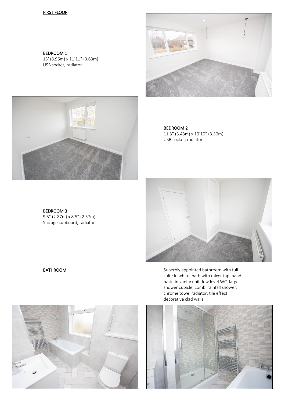#### FIRST FLOOR

BEDROOM 1 13' (3.96m) x 11'11" (3.63m) USB socket, radiator





BEDROOM 2 11'3" (3.43m) x 10'10" (3.30m) USB socket, radiator



BATHROOM BATHROOM Superbly appointed bathroom with full suite in white, bath with mixer tap, hand basin in vanity unit, low level WC, large shower cubicle, combi rainfall shower, chrome towel radiator, tile effect decorative clad walls



BEDROOM 3

9'5" (2.87m) x 8'5" (2.57m) Storage cupboard, radiator